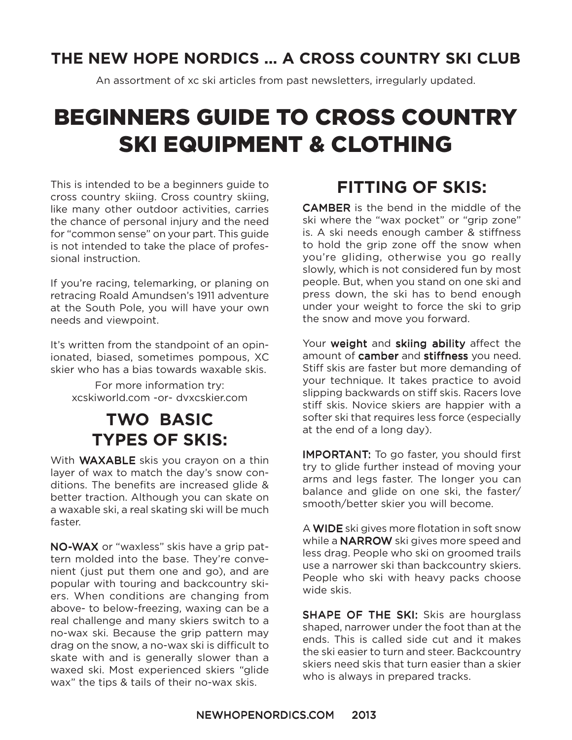### **THE NEW HOPE NORDICS ... A CROSS COUNTRY SKI CLUB**

An assortment of xc ski articles from past newsletters, irregularly updated.

# BEGINNERS GUIDE TO CROSS COUNTRY SKI EQUIPMENT & CLOTHING

This is intended to be a beginners guide to cross country skiing. Cross country skiing, like many other outdoor activities, carries the chance of personal injury and the need for "common sense" on your part. This guide is not intended to take the place of professional instruction.

If you're racing, telemarking, or planing on retracing Roald Amundsen's 1911 adventure at the South Pole, you will have your own needs and viewpoint.

It's written from the standpoint of an opinionated, biased, sometimes pompous, XC skier who has a bias towards waxable skis.

For more information try: xcskiworld.com -or- dvxcskier.com

### **TWO BASIC TYPES OF SKIS:**

With **WAXABLE** skis you crayon on a thin layer of wax to match the day's snow conditions. The benefits are increased glide & better traction. Although you can skate on a waxable ski, a real skating ski will be much faster.

NO-WAX or "waxless" skis have a grip pattern molded into the base. They're convenient (just put them one and go), and are popular with touring and backcountry skiers. When conditions are changing from above- to below-freezing, waxing can be a real challenge and many skiers switch to a no-wax ski. Because the grip pattern may drag on the snow, a no-wax ski is difficult to skate with and is generally slower than a waxed ski. Most experienced skiers "glide wax" the tips & tails of their no-wax skis.

### **FITTING OF SKIS:**

**CAMBER** is the bend in the middle of the ski where the "wax pocket" or "grip zone" is. A ski needs enough camber & stiffness to hold the grip zone off the snow when you're gliding, otherwise you go really slowly, which is not considered fun by most people. But, when you stand on one ski and press down, the ski has to bend enough under your weight to force the ski to grip the snow and move you forward.

Your weight and skiing ability affect the amount of camber and stiffness you need. Stiff skis are faster but more demanding of your technique. It takes practice to avoid slipping backwards on stiff skis. Racers love stiff skis. Novice skiers are happier with a softer ski that requires less force (especially at the end of a long day).

**IMPORTANT:** To go faster, you should first try to glide further instead of moving your arms and legs faster. The longer you can balance and glide on one ski, the faster/ smooth/better skier you will become.

A WIDE ski gives more flotation in soft snow while a **NARROW** ski gives more speed and less drag. People who ski on groomed trails use a narrower ski than backcountry skiers. People who ski with heavy packs choose wide skis.

SHAPE OF THE SKI: Skis are hourglass shaped, narrower under the foot than at the ends. This is called side cut and it makes the ski easier to turn and steer. Backcountry skiers need skis that turn easier than a skier who is always in prepared tracks.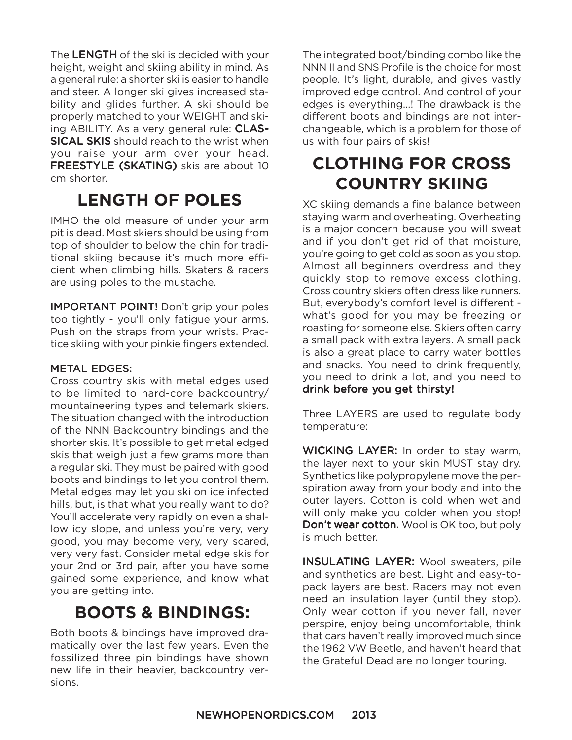The LENGTH of the ski is decided with your height, weight and skiing ability in mind. As a general rule: a shorter ski is easier to handle and steer. A longer ski gives increased stability and glides further. A ski should be properly matched to your WEIGHT and skiing ABILITY. As a very general rule: CLAS-**SICAL SKIS** should reach to the wrist when you raise your arm over your head. FREESTYLE (SKATING) skis are about 10 cm shorter.

## **LENGTH OF POLES**

IMHO the old measure of under your arm pit is dead. Most skiers should be using from top of shoulder to below the chin for traditional skiing because it's much more efficient when climbing hills. Skaters & racers are using poles to the mustache.

**IMPORTANT POINT!** Don't grip your poles too tightly - you'll only fatigue your arms. Push on the straps from your wrists. Practice skiing with your pinkie fingers extended.

#### **METAL EDGES:**

Cross country skis with metal edges used to be limited to hard-core backcountry/ mountaineering types and telemark skiers. The situation changed with the introduction of the NNN Backcountry bindings and the shorter skis. It's possible to get metal edged skis that weigh just a few grams more than a regular ski. They must be paired with good boots and bindings to let you control them. Metal edges may let you ski on ice infected hills, but, is that what you really want to do? You'll accelerate very rapidly on even a shallow icy slope, and unless you're very, very good, you may become very, very scared, very very fast. Consider metal edge skis for your 2nd or 3rd pair, after you have some gained some experience, and know what you are getting into.

### **BOOTS & BINDINGS:**

Both boots & bindings have improved dramatically over the last few years. Even the fossilized three pin bindings have shown new life in their heavier, backcountry versions.

The integrated boot/binding combo like the NNN II and SNS Profile is the choice for most people. It's light, durable, and gives vastly improved edge control. And control of your edges is everything...! The drawback is the different boots and bindings are not interchangeable, which is a problem for those of us with four pairs of skis!

## **CLOTHING FOR CROSS COUNTRY SKIING**

XC skiing demands a fine balance between staying warm and overheating. Overheating is a major concern because you will sweat and if you don't get rid of that moisture, you're going to get cold as soon as you stop. Almost all beginners overdress and they quickly stop to remove excess clothing. Cross country skiers often dress like runners. But, everybody's comfort level is different what's good for you may be freezing or roasting for someone else. Skiers often carry a small pack with extra layers. A small pack is also a great place to carry water bottles and snacks. You need to drink frequently, you need to drink a lot, and you need to drink before you get thirsty!

Three LAYERS are used to regulate body temperature:

WICKING LAYER: In order to stay warm, the layer next to your skin MUST stay dry. Synthetics like polypropylene move the perspiration away from your body and into the outer layers. Cotton is cold when wet and will only make you colder when you stop! Don't wear cotton. Wool is OK too, but poly is much better.

**INSULATING LAYER:** Wool sweaters, pile and synthetics are best. Light and easy-topack layers are best. Racers may not even need an insulation layer (until they stop). Only wear cotton if you never fall, never perspire, enjoy being uncomfortable, think that cars haven't really improved much since the 1962 VW Beetle, and haven't heard that the Grateful Dead are no longer touring.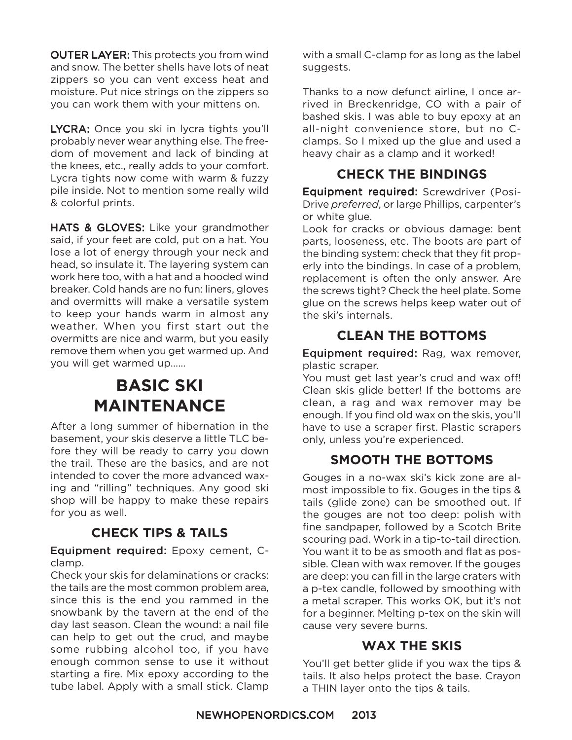OUTER LAYER: This protects you from wind and snow. The better shells have lots of neat zippers so you can vent excess heat and moisture. Put nice strings on the zippers so you can work them with your mittens on.

LYCRA: Once you ski in lycra tights you'll probably never wear anything else. The freedom of movement and lack of binding at the knees, etc., really adds to your comfort. Lycra tights now come with warm & fuzzy pile inside. Not to mention some really wild & colorful prints.

HATS & GLOVES: Like your grandmother said, if your feet are cold, put on a hat. You lose a lot of energy through your neck and head, so insulate it. The layering system can work here too, with a hat and a hooded wind breaker. Cold hands are no fun: liners, gloves and overmitts will make a versatile system to keep your hands warm in almost any weather. When you first start out the overmitts are nice and warm, but you easily remove them when you get warmed up. And you will get warmed up......

## **BASIC SKI MAINTENANCE**

After a long summer of hibernation in the basement, your skis deserve a little TLC before they will be ready to carry you down the trail. These are the basics, and are not intended to cover the more advanced waxing and "rilling" techniques. Any good ski shop will be happy to make these repairs for you as well.

### **CHECK TIPS & TAILS**

#### Equipment required: Epoxy cement, Cclamp.

Check your skis for delaminations or cracks: the tails are the most common problem area, since this is the end you rammed in the snowbank by the tavern at the end of the day last season. Clean the wound: a nail file can help to get out the crud, and maybe some rubbing alcohol too, if you have enough common sense to use it without starting a fire. Mix epoxy according to the tube label. Apply with a small stick. Clamp

with a small C-clamp for as long as the label suggests.

Thanks to a now defunct airline, I once arrived in Breckenridge, CO with a pair of bashed skis. I was able to buy epoxy at an all-night convenience store, but no Cclamps. So I mixed up the glue and used a heavy chair as a clamp and it worked!

### **CHECK THE BINDINGS**

Equipment required: Screwdriver (Posi-Drive *preferred*, or large Phillips, carpenter's or white glue.

Look for cracks or obvious damage: bent parts, looseness, etc. The boots are part of the binding system: check that they fit properly into the bindings. In case of a problem, replacement is often the only answer. Are the screws tight? Check the heel plate. Some glue on the screws helps keep water out of the ski's internals.

### **CLEAN THE BOTTOMS**

Equipment required: Rag, wax remover, plastic scraper.

You must get last year's crud and wax off! Clean skis glide better! If the bottoms are clean, a rag and wax remover may be enough. If you find old wax on the skis, you'll have to use a scraper first. Plastic scrapers only, unless you're experienced.

### **SMOOTH THE BOTTOMS**

Gouges in a no-wax ski's kick zone are almost impossible to fix. Gouges in the tips & tails (glide zone) can be smoothed out. If the gouges are not too deep: polish with fine sandpaper, followed by a Scotch Brite scouring pad. Work in a tip-to-tail direction. You want it to be as smooth and flat as possible. Clean with wax remover. If the gouges are deep: you can fill in the large craters with a p-tex candle, followed by smoothing with a metal scraper. This works OK, but it's not for a beginner. Melting p-tex on the skin will cause very severe burns.

### **WAX THE SKIS**

You'll get better glide if you wax the tips & tails. It also helps protect the base. Crayon a THIN layer onto the tips & tails.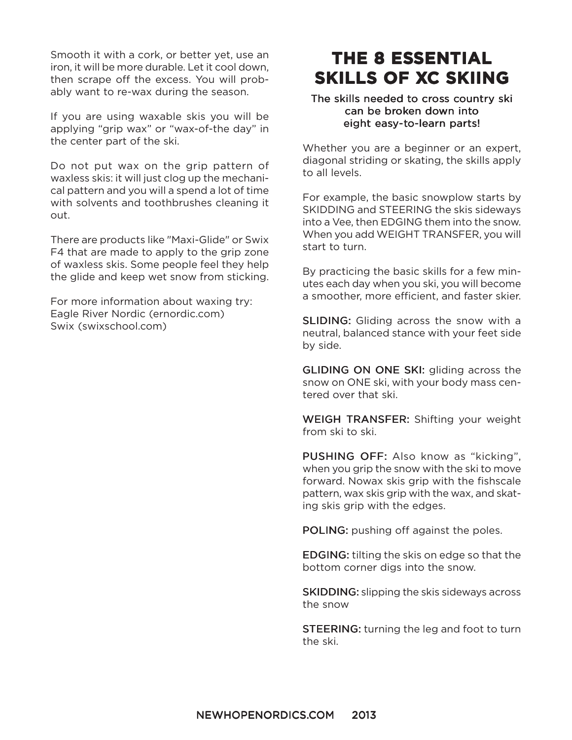Smooth it with a cork, or better yet, use an iron, it will be more durable. Let it cool down, then scrape off the excess. You will probably want to re-wax during the season.

If you are using waxable skis you will be applying "grip wax" or "wax-of-the day" in the center part of the ski.

Do not put wax on the grip pattern of waxless skis: it will just clog up the mechanical pattern and you will a spend a lot of time with solvents and toothbrushes cleaning it out.

There are products like "Maxi-Glide" or Swix F4 that are made to apply to the grip zone of waxless skis. Some people feel they help the glide and keep wet snow from sticking.

For more information about waxing try: Eagle River Nordic (ernordic.com) Swix (swixschool.com)

## **THE 8 ESSENTIAL SKILLS OF XC SKIING**

#### The skills needed to cross country ski can be broken down into eight easy-to-learn parts!

Whether you are a beginner or an expert, diagonal striding or skating, the skills apply to all levels.

For example, the basic snowplow starts by SKIDDING and STEERING the skis sideways into a Vee, then EDGING them into the snow. When you add WEIGHT TRANSFER, you will start to turn.

By practicing the basic skills for a few minutes each day when you ski, you will become a smoother, more efficient, and faster skier.

**SLIDING:** Gliding across the snow with a neutral, balanced stance with your feet side by side.

**GLIDING ON ONE SKI:** gliding across the snow on ONE ski, with your body mass centered over that ski.

WEIGH TRANSFER: Shifting your weight from ski to ski.

PUSHING OFF: Also know as "kicking", when you grip the snow with the ski to move forward. Nowax skis grip with the fishscale pattern, wax skis grip with the wax, and skating skis grip with the edges.

POLING: pushing off against the poles.

EDGING: EDGING: tilting the skis on edge so that the bottom corner digs into the snow.

**SKIDDING:** slipping the skis sideways across the snow

**STEERING:** turning the leg and foot to turn the ski.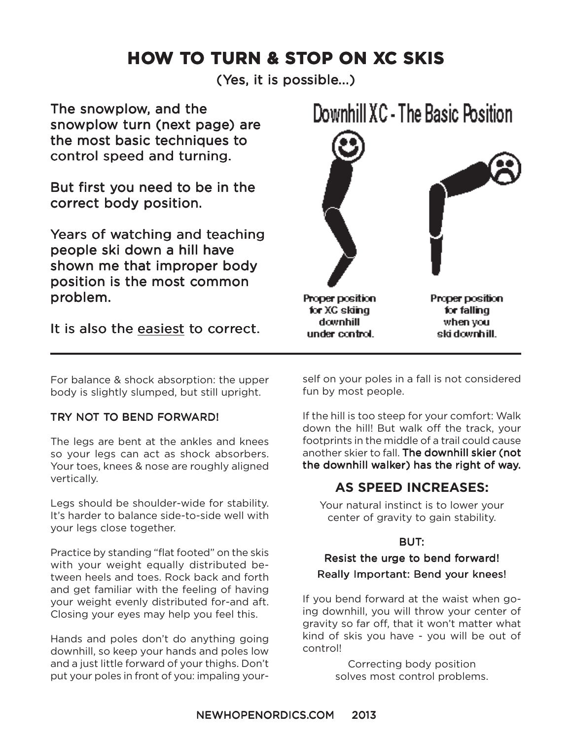## **HOW TO TURN & STOP ON XC SKIS**

(Yes, it is possible...)

The snowplow, and the snowplow turn (next page) are the most basic techniques to control speed and turning.

But first you need to be in the correct body position.

Years of watching and teaching people ski down a hill have shown me that improper body position is the most common problem.

### It is also the easiest to correct.



For balance & shock absorption: the upper body is slightly slumped, but still upright.

#### TRY NOT TO BEND FORWARD!

The legs are bent at the ankles and knees so your legs can act as shock absorbers. Your toes, knees & nose are roughly aligned vertically.

Legs should be shoulder-wide for stability. It's harder to balance side-to-side well with your legs close together.

Practice by standing "flat footed" on the skis with your weight equally distributed between heels and toes. Rock back and forth and get familiar with the feeling of having your weight evenly distributed for-and aft. Closing your eyes may help you feel this.

Hands and poles don't do anything going downhill, so keep your hands and poles low and a just little forward of your thighs. Don't put your poles in front of you: impaling yourself on your poles in a fall is not considered fun by most people.

If the hill is too steep for your comfort: Walk down the hill! But walk off the track, your footprints in the middle of a trail could cause another skier to fall. The downhill skier (not the downhill walker) has the right of way.

### **AS SPEED INCREASES:**

Your natural instinct is to lower your center of gravity to gain stability.

#### BUT:

#### Resist the urge to bend forward! Really Important: Bend your knees!

If you bend forward at the waist when going downhill, you will throw your center of gravity so far off, that it won't matter what kind of skis you have - you will be out of control!

> Correcting body position solves most control problems.